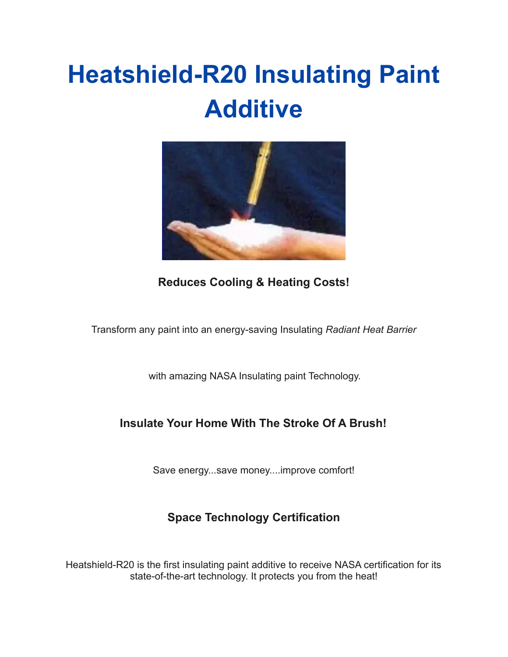# **Heatshield-R20 Insulating Paint Additive**



**Reduces Cooling & Heating Costs!**

Transform any paint into an energy-saving Insulating *Radiant Heat Barrier*

with amazing NASA Insulating paint Technology.

#### **Insulate Your Home With The Stroke Of A Brush!**

Save energy...save money....improve comfort!

#### **Space Technology Certification**

Heatshield-R20 is the first insulating paint additive to receive NASA certification for its state-of-the-art technology. It protects you from the heat!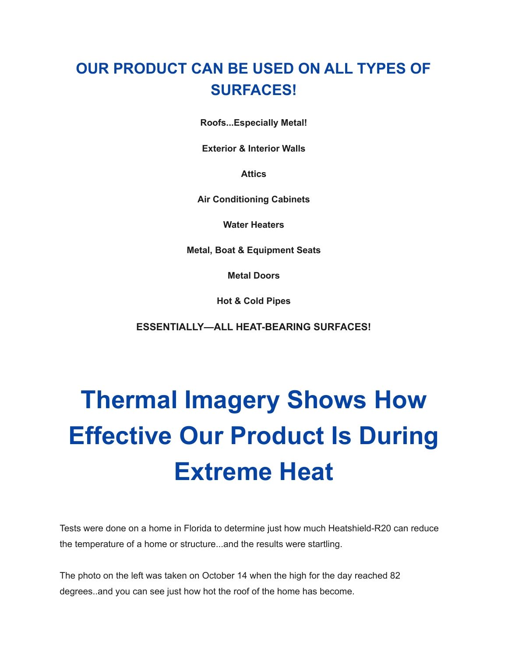### **OUR PRODUCT CAN BE USED ON ALL TYPES OF SURFACES!**

**Roofs...Especially Metal!**

**Exterior & Interior Walls**

**Attics**

**Air Conditioning Cabinets**

**Water Heaters**

**Metal, Boat & Equipment Seats**

**Metal Doors**

**Hot & Cold Pipes**

**ESSENTIALLY—ALL HEAT-BEARING SURFACES!**

# **Thermal Imagery Shows How Effective Our Product Is During Extreme Heat**

Tests were done on a home in Florida to determine just how much Heatshield-R20 can reduce the temperature of a home or structure...and the results were startling.

The photo on the left was taken on October 14 when the high for the day reached 82 degrees..and you can see just how hot the roof of the home has become.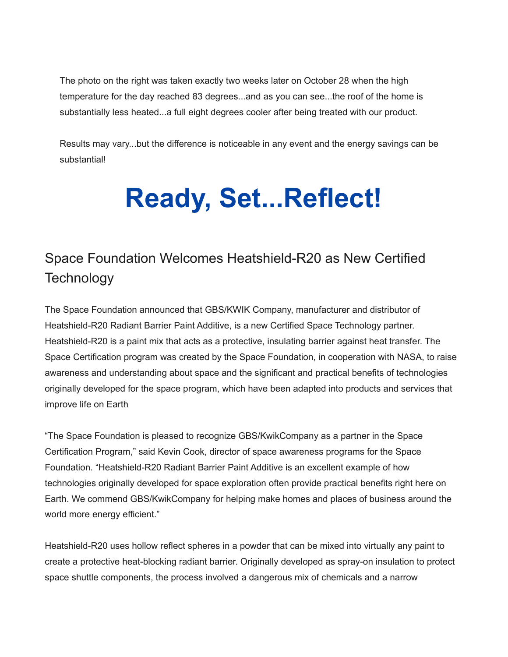The photo on the right was taken exactly two weeks later on October 28 when the high temperature for the day reached 83 degrees...and as you can see...the roof of the home is substantially less heated...a full eight degrees cooler after being treated with our product.

Results may vary...but the difference is noticeable in any event and the energy savings can be substantial!

# **Ready, Set...Reflect!**

### Space Foundation Welcomes Heatshield-R20 as New Certified **Technology**

The Space Foundation announced that GBS/KWIK Company, manufacturer and distributor of Heatshield-R20 Radiant Barrier Paint Additive, is a new Certified Space Technology partner. Heatshield-R20 is a paint mix that acts as a protective, insulating barrier against heat transfer. The Space Certification program was created by the Space Foundation, in cooperation with NASA, to raise awareness and understanding about space and the significant and practical benefits of technologies originally developed for the space program, which have been adapted into products and services that improve life on Earth

"The Space Foundation is pleased to recognize GBS/KwikCompany as a partner in the Space Certification Program," said Kevin Cook, director of space awareness programs for the Space Foundation. "Heatshield-R20 Radiant Barrier Paint Additive is an excellent example of how technologies originally developed for space exploration often provide practical benefits right here on Earth. We commend GBS/KwikCompany for helping make homes and places of business around the world more energy efficient."

Heatshield-R20 uses hollow reflect spheres in a powder that can be mixed into virtually any paint to create a protective heat-blocking radiant barrier. Originally developed as spray-on insulation to protect space shuttle components, the process involved a dangerous mix of chemicals and a narrow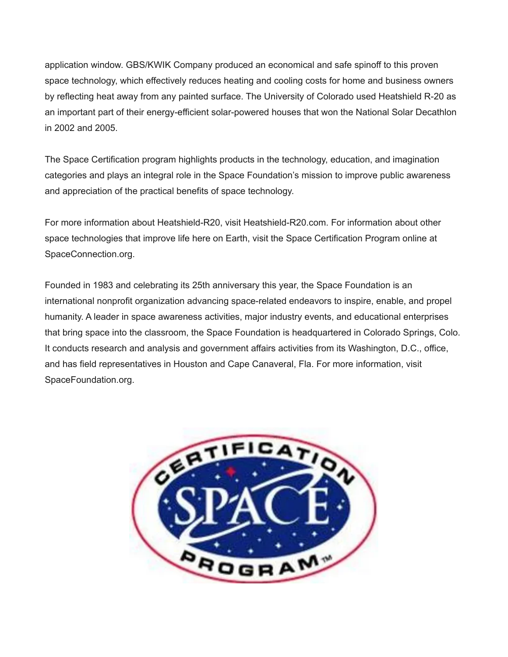application window. GBS/KWIK Company produced an economical and safe spinoff to this proven space technology, which effectively reduces heating and cooling costs for home and business owners by reflecting heat away from any painted surface. The University of Colorado used Heatshield R-20 as an important part of their energy-efficient solar-powered houses that won the National Solar Decathlon in 2002 and 2005.

The Space Certification program highlights products in the technology, education, and imagination categories and plays an integral role in the Space Foundation's mission to improve public awareness and appreciation of the practical benefits of space technology.

For more information about Heatshield-R20, visit Heatshield-R20.com. For information about other space technologies that improve life here on Earth, visit the Space Certification Program online at SpaceConnection.org.

Founded in 1983 and celebrating its 25th anniversary this year, the Space Foundation is an international nonprofit organization advancing space-related endeavors to inspire, enable, and propel humanity. A leader in space awareness activities, major industry events, and educational enterprises that bring space into the classroom, the Space Foundation is headquartered in Colorado Springs, Colo. It conducts research and analysis and government affairs activities from its Washington, D.C., office, and has field representatives in Houston and Cape Canaveral, Fla. For more information, visit SpaceFoundation.org.

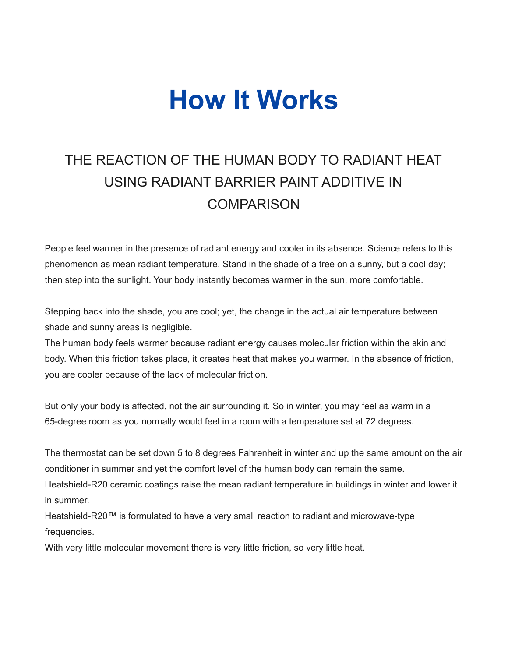## **How It Works**

### THE REACTION OF THE HUMAN BODY TO RADIANT HEAT USING RADIANT BARRIER PAINT ADDITIVE IN **COMPARISON**

People feel warmer in the presence of radiant energy and cooler in its absence. Science refers to this phenomenon as mean radiant temperature. Stand in the shade of a tree on a sunny, but a cool day; then step into the sunlight. Your body instantly becomes warmer in the sun, more comfortable.

Stepping back into the shade, you are cool; yet, the change in the actual air temperature between shade and sunny areas is negligible.

The human body feels warmer because radiant energy causes molecular friction within the skin and body. When this friction takes place, it creates heat that makes you warmer. In the absence of friction, you are cooler because of the lack of molecular friction.

But only your body is affected, not the air surrounding it. So in winter, you may feel as warm in a 65-degree room as you normally would feel in a room with a temperature set at 72 degrees.

The thermostat can be set down 5 to 8 degrees Fahrenheit in winter and up the same amount on the air conditioner in summer and yet the comfort level of the human body can remain the same. Heatshield-R20 ceramic coatings raise the mean radiant temperature in buildings in winter and lower it in summer.

Heatshield-R20™ is formulated to have a very small reaction to radiant and microwave-type frequencies.

With very little molecular movement there is very little friction, so very little heat.